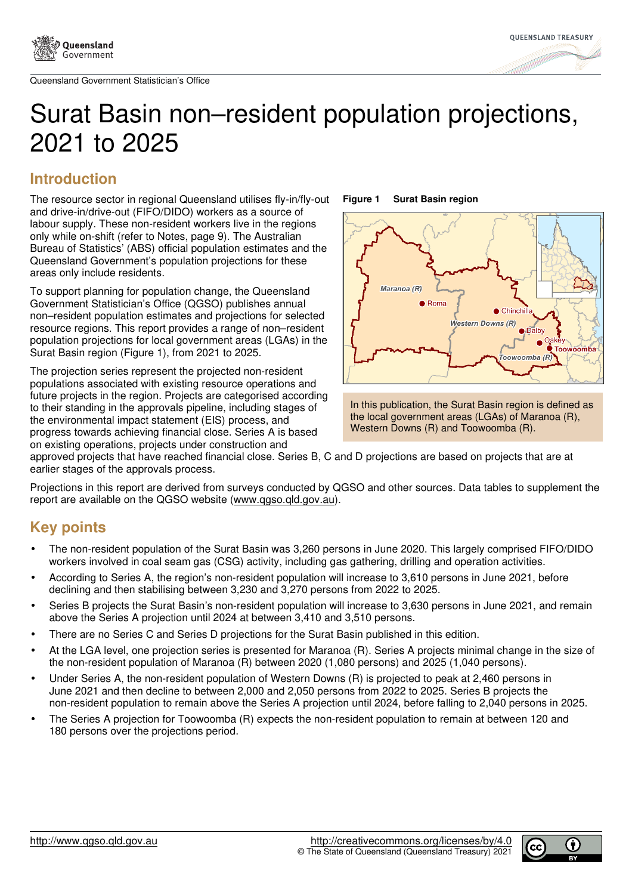



# Surat Basin non–resident population projections, 2021 to 2025

# **Introduction**

The resource sector in regional Queensland utilises fly-in/fly-out and drive-in/drive-out (FIFO/DIDO) workers as a source of labour supply. These non-resident workers live in the regions only while on-shift (refer to Notes, page 9). The Australian Bureau of Statistics' (ABS) official population estimates and the Queensland Government's population projections for these areas only include residents.

To support planning for population change, the Queensland Government Statistician's Office (QGSO) publishes annual non–resident population estimates and projections for selected resource regions. This report provides a range of non–resident population projections for local government areas (LGAs) in the Surat Basin region (Figure 1), from 2021 to 2025.

The projection series represent the projected non-resident populations associated with existing resource operations and future projects in the region. Projects are categorised according to their standing in the approvals pipeline, including stages of the environmental impact statement (EIS) process, and progress towards achieving financial close. Series A is based on existing operations, projects under construction and

**Figure 1 Surat Basin region** 





approved projects that have reached financial close. Series B, C and D projections are based on projects that are at earlier stages of the approvals process.

Projections in this report are derived from surveys conducted by QGSO and other sources. Data tables to supplement the report are available on the QGSO website (www.qgso.qld.gov.au).

# **Key points**

- The non-resident population of the Surat Basin was 3,260 persons in June 2020. This largely comprised FIFO/DIDO workers involved in coal seam gas (CSG) activity, including gas gathering, drilling and operation activities.
- According to Series A, the region's non-resident population will increase to 3,610 persons in June 2021, before declining and then stabilising between 3,230 and 3,270 persons from 2022 to 2025.
- Series B projects the Surat Basin's non-resident population will increase to 3,630 persons in June 2021, and remain above the Series A projection until 2024 at between 3,410 and 3,510 persons.
- There are no Series C and Series D projections for the Surat Basin published in this edition.
- At the LGA level, one projection series is presented for Maranoa (R). Series A projects minimal change in the size of the non-resident population of Maranoa (R) between 2020 (1,080 persons) and 2025 (1,040 persons).
- Under Series A, the non-resident population of Western Downs (R) is projected to peak at 2,460 persons in June 2021 and then decline to between 2,000 and 2,050 persons from 2022 to 2025. Series B projects the non-resident population to remain above the Series A projection until 2024, before falling to 2,040 persons in 2025.
- The Series A projection for Toowoomba (R) expects the non-resident population to remain at between 120 and 180 persons over the projections period.

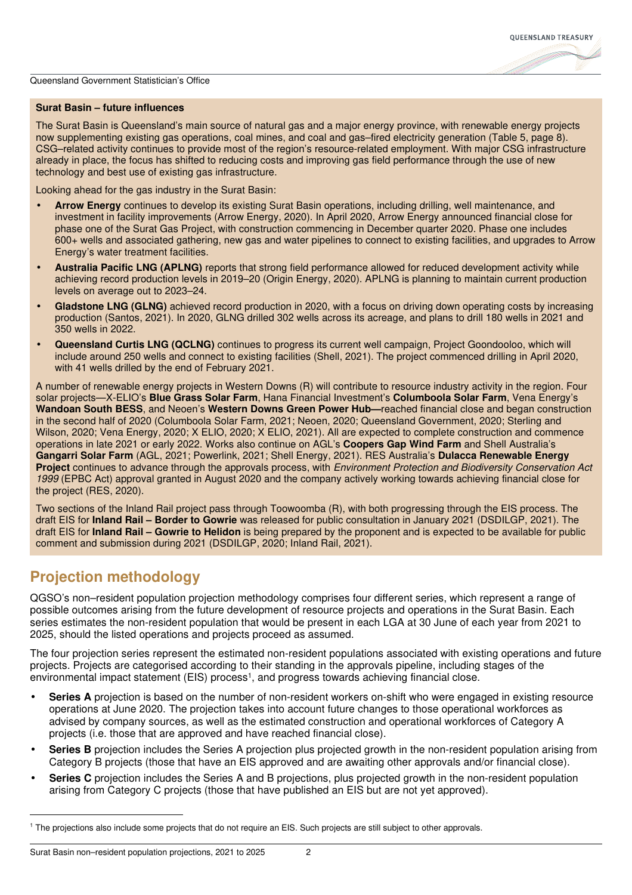

## **Surat Basin – future influences**

The Surat Basin is Queensland's main source of natural gas and a major energy province, with renewable energy projects now supplementing existing gas operations, coal mines, and coal and gas–fired electricity generation (Table 5, page 8). CSG–related activity continues to provide most of the region's resource-related employment. With major CSG infrastructure already in place, the focus has shifted to reducing costs and improving gas field performance through the use of new technology and best use of existing gas infrastructure.

Looking ahead for the gas industry in the Surat Basin:

- **Arrow Energy** continues to develop its existing Surat Basin operations, including drilling, well maintenance, and investment in facility improvements (Arrow Energy, 2020). In April 2020, Arrow Energy announced financial close for phase one of the Surat Gas Project, with construction commencing in December quarter 2020. Phase one includes 600+ wells and associated gathering, new gas and water pipelines to connect to existing facilities, and upgrades to Arrow Energy's water treatment facilities.
- **Australia Pacific LNG (APLNG)** reports that strong field performance allowed for reduced development activity while achieving record production levels in 2019–20 (Origin Energy, 2020). APLNG is planning to maintain current production levels on average out to 2023–24.
- **Gladstone LNG (GLNG)** achieved record production in 2020, with a focus on driving down operating costs by increasing production (Santos, 2021). In 2020, GLNG drilled 302 wells across its acreage, and plans to drill 180 wells in 2021 and 350 wells in 2022.
- **Queensland Curtis LNG (QCLNG)** continues to progress its current well campaign, Project Goondooloo, which will include around 250 wells and connect to existing facilities (Shell, 2021). The project commenced drilling in April 2020, with 41 wells drilled by the end of February 2021.

A number of renewable energy projects in Western Downs (R) will contribute to resource industry activity in the region. Four solar projects—X-ELIO's **Blue Grass Solar Farm**, Hana Financial Investment's **Columboola Solar Farm**, Vena Energy's **Wandoan South BESS**, and Neoen's **Western Downs Green Power Hub—**reached financial close and began construction in the second half of 2020 (Columboola Solar Farm, 2021; Neoen, 2020; Queensland Government, 2020; Sterling and Wilson, 2020; Vena Energy, 2020; X ELIO, 2020; X ELIO, 2021). All are expected to complete construction and commence operations in late 2021 or early 2022. Works also continue on AGL's **Coopers Gap Wind Farm** and Shell Australia's **Gangarri Solar Farm** (AGL, 2021; Powerlink, 2021; Shell Energy, 2021). RES Australia's **Dulacca Renewable Energy Project** continues to advance through the approvals process, with Environment Protection and Biodiversity Conservation Act 1999 (EPBC Act) approval granted in August 2020 and the company actively working towards achieving financial close for the project (RES, 2020).

Two sections of the Inland Rail project pass through Toowoomba (R), with both progressing through the EIS process. The draft EIS for **Inland Rail – Border to Gowrie** was released for public consultation in January 2021 (DSDILGP, 2021). The draft EIS for **Inland Rail – Gowrie to Helidon** is being prepared by the proponent and is expected to be available for public comment and submission during 2021 (DSDILGP, 2020; Inland Rail, 2021).

## **Projection methodology**

QGSO's non–resident population projection methodology comprises four different series, which represent a range of possible outcomes arising from the future development of resource projects and operations in the Surat Basin. Each series estimates the non-resident population that would be present in each LGA at 30 June of each year from 2021 to 2025, should the listed operations and projects proceed as assumed.

The four projection series represent the estimated non-resident populations associated with existing operations and future projects. Projects are categorised according to their standing in the approvals pipeline, including stages of the environmental impact statement (EIS) process<sup>1</sup>, and progress towards achieving financial close.

- **Series A** projection is based on the number of non-resident workers on-shift who were engaged in existing resource operations at June 2020. The projection takes into account future changes to those operational workforces as advised by company sources, as well as the estimated construction and operational workforces of Category A projects (i.e. those that are approved and have reached financial close).
- **Series B** projection includes the Series A projection plus projected growth in the non-resident population arising from Category B projects (those that have an EIS approved and are awaiting other approvals and/or financial close).
- **Series C** projection includes the Series A and B projections, plus projected growth in the non-resident population arising from Category C projects (those that have published an EIS but are not yet approved).

Surat Basin non–resident population projections, 2021 to 2025 2

<sup>&</sup>lt;sup>1</sup> The projections also include some projects that do not require an EIS. Such projects are still subject to other approvals.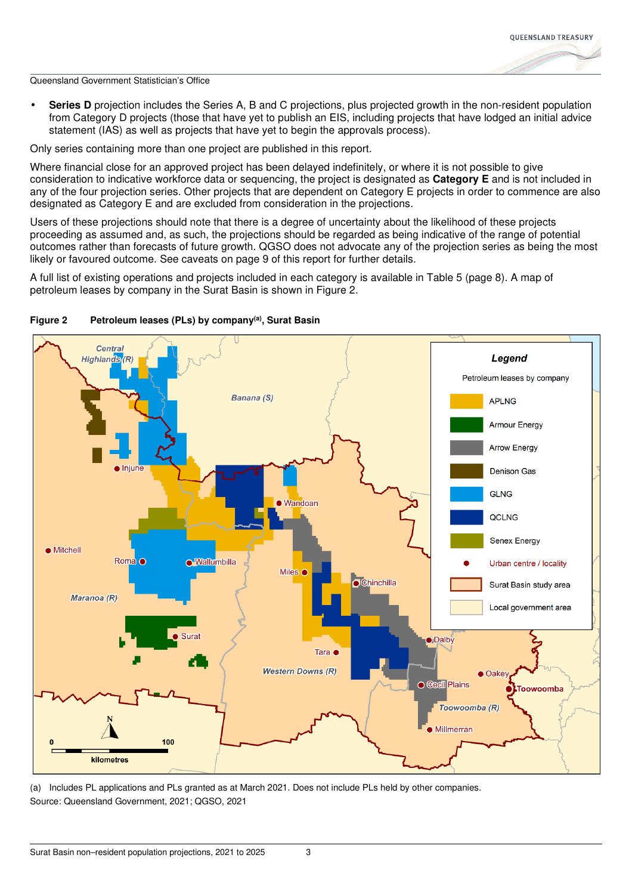

**Series D** projection includes the Series A, B and C projections, plus projected growth in the non-resident population from Category D projects (those that have yet to publish an EIS, including projects that have lodged an initial advice statement (IAS) as well as projects that have yet to begin the approvals process).

Only series containing more than one project are published in this report.

Where financial close for an approved project has been delayed indefinitely, or where it is not possible to give consideration to indicative workforce data or sequencing, the project is designated as **Category E** and is not included in any of the four projection series. Other projects that are dependent on Category E projects in order to commence are also designated as Category E and are excluded from consideration in the projections.

Users of these projections should note that there is a degree of uncertainty about the likelihood of these projects proceeding as assumed and, as such, the projections should be regarded as being indicative of the range of potential outcomes rather than forecasts of future growth. QGSO does not advocate any of the projection series as being the most likely or favoured outcome. See caveats on page 9 of this report for further details.

A full list of existing operations and projects included in each category is available in Table 5 (page 8). A map of petroleum leases by company in the Surat Basin is shown in Figure 2.



## **Figure 2 Petroleum leases (PLs) by company(a), Surat Basin**

(a) Includes PL applications and PLs granted as at March 2021. Does not include PLs held by other companies. Source: Queensland Government, 2021; QGSO, 2021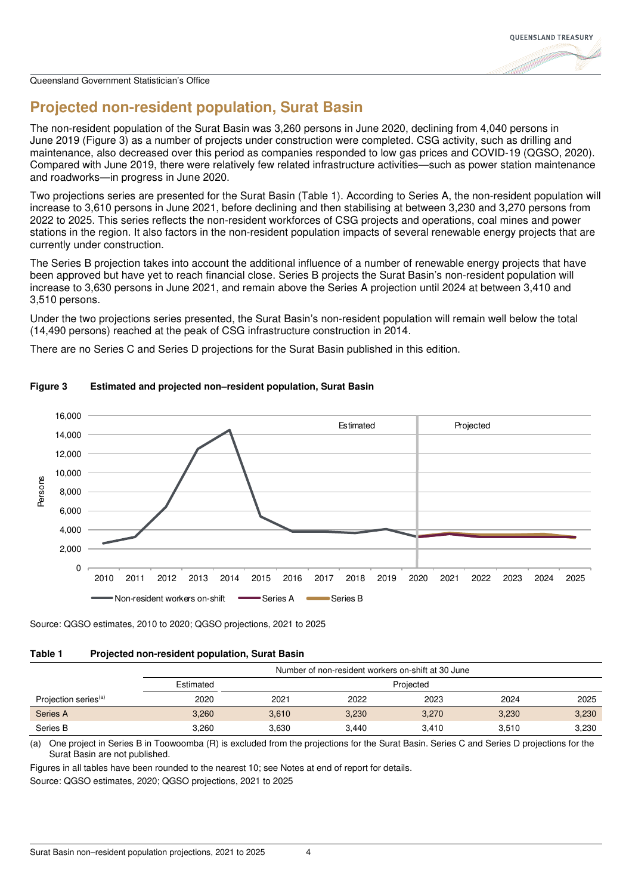

# **Projected non-resident population, Surat Basin**

The non-resident population of the Surat Basin was 3,260 persons in June 2020, declining from 4,040 persons in June 2019 (Figure 3) as a number of projects under construction were completed. CSG activity, such as drilling and maintenance, also decreased over this period as companies responded to low gas prices and COVID-19 (QGSO, 2020). Compared with June 2019, there were relatively few related infrastructure activities—such as power station maintenance and roadworks—in progress in June 2020.

Two projections series are presented for the Surat Basin (Table 1). According to Series A, the non-resident population will increase to 3,610 persons in June 2021, before declining and then stabilising at between 3,230 and 3,270 persons from 2022 to 2025. This series reflects the non-resident workforces of CSG projects and operations, coal mines and power stations in the region. It also factors in the non-resident population impacts of several renewable energy projects that are currently under construction.

The Series B projection takes into account the additional influence of a number of renewable energy projects that have been approved but have yet to reach financial close. Series B projects the Surat Basin's non-resident population will increase to 3,630 persons in June 2021, and remain above the Series A projection until 2024 at between 3,410 and 3,510 persons.

Under the two projections series presented, the Surat Basin's non-resident population will remain well below the total (14,490 persons) reached at the peak of CSG infrastructure construction in 2014.

There are no Series C and Series D projections for the Surat Basin published in this edition.



## **Figure 3 Estimated and projected non–resident population, Surat Basin**

Source: QGSO estimates, 2010 to 2020; QGSO projections, 2021 to 2025

## **Table 1 Projected non-resident population, Surat Basin**

|                                  | Number of non-resident workers on-shift at 30 June |           |       |       |       |       |
|----------------------------------|----------------------------------------------------|-----------|-------|-------|-------|-------|
|                                  | Estimated                                          | Projected |       |       |       |       |
| Projection series <sup>(a)</sup> | 2020                                               | 2021      | 2022  | 2023  | 2024  | 2025  |
| Series A                         | 3,260                                              | 3,610     | 3,230 | 3,270 | 3,230 | 3,230 |
| Series B                         | 3.260                                              | 3.630     | 3.440 | 3.410 | 3,510 | 3,230 |

(a) One project in Series B in Toowoomba (R) is excluded from the projections for the Surat Basin. Series C and Series D projections for the Surat Basin are not published.

Figures in all tables have been rounded to the nearest 10; see Notes at end of report for details.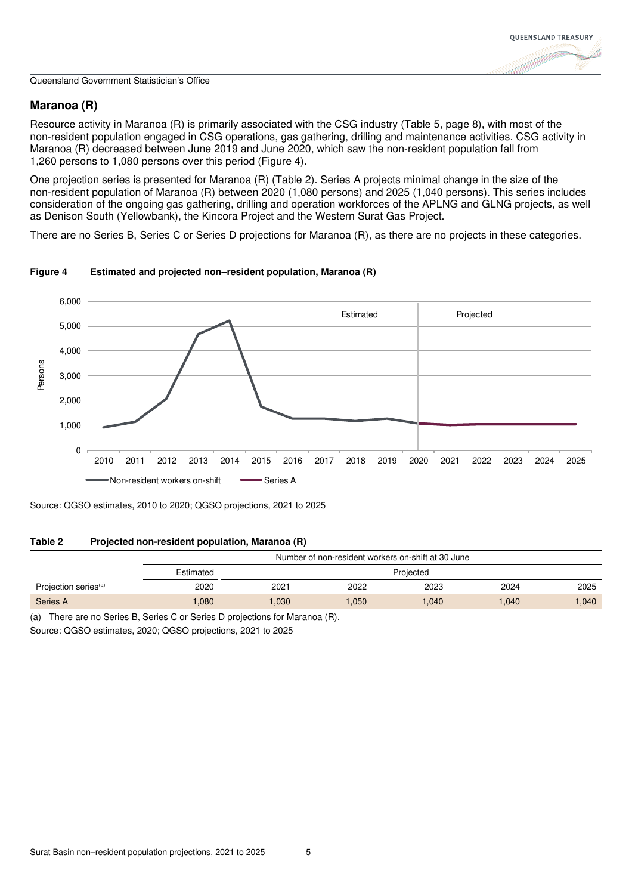## **Maranoa (R)**

Resource activity in Maranoa (R) is primarily associated with the CSG industry (Table 5, page 8), with most of the non-resident population engaged in CSG operations, gas gathering, drilling and maintenance activities. CSG activity in Maranoa (R) decreased between June 2019 and June 2020, which saw the non-resident population fall from 1,260 persons to 1,080 persons over this period (Figure 4).

One projection series is presented for Maranoa (R) (Table 2). Series A projects minimal change in the size of the non-resident population of Maranoa (R) between 2020 (1,080 persons) and 2025 (1,040 persons). This series includes consideration of the ongoing gas gathering, drilling and operation workforces of the APLNG and GLNG projects, as well as Denison South (Yellowbank), the Kincora Project and the Western Surat Gas Project.

There are no Series B, Series C or Series D projections for Maranoa (R), as there are no projects in these categories.



## **Figure 4 Estimated and projected non–resident population, Maranoa (R)**

Source: QGSO estimates, 2010 to 2020; QGSO projections, 2021 to 2025

## **Table 2 Projected non-resident population, Maranoa (R)**

|                                  | Number of non-resident workers on-shift at 30 June |           |      |       |      |       |
|----------------------------------|----------------------------------------------------|-----------|------|-------|------|-------|
|                                  | Estimated                                          | Projected |      |       |      |       |
| Projection series <sup>(a)</sup> | 2020                                               | 2021      | 2022 | 2023  | 2024 | 2025  |
| Series A                         | 080.                                               | .030      | .050 | 1,040 | .040 | 1,040 |

(a) There are no Series B, Series C or Series D projections for Maranoa (R).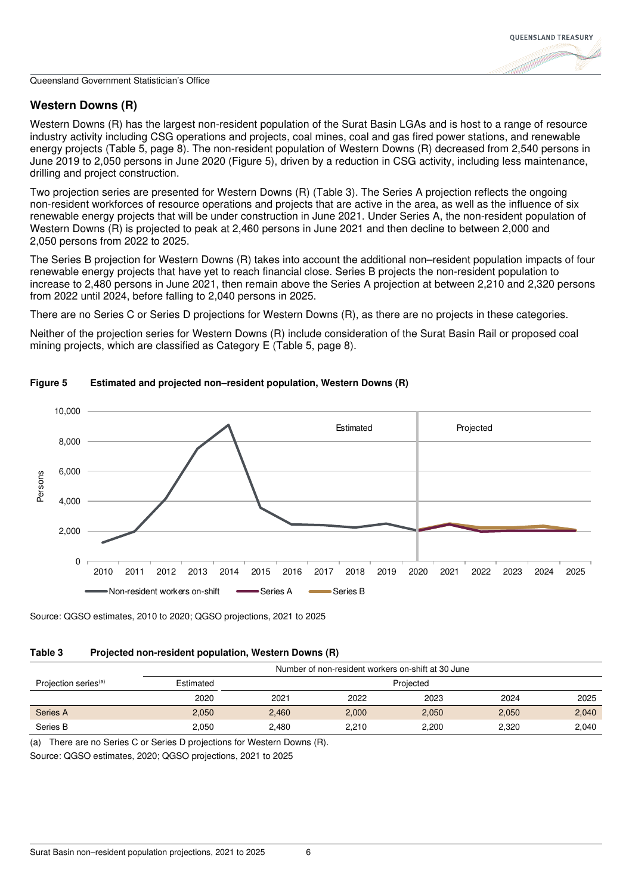## **Western Downs (R)**

Western Downs (R) has the largest non-resident population of the Surat Basin LGAs and is host to a range of resource industry activity including CSG operations and projects, coal mines, coal and gas fired power stations, and renewable energy projects (Table 5, page 8). The non-resident population of Western Downs (R) decreased from 2,540 persons in June 2019 to 2,050 persons in June 2020 (Figure 5), driven by a reduction in CSG activity, including less maintenance, drilling and project construction.

Two projection series are presented for Western Downs (R) (Table 3). The Series A projection reflects the ongoing non-resident workforces of resource operations and projects that are active in the area, as well as the influence of six renewable energy projects that will be under construction in June 2021. Under Series A, the non-resident population of Western Downs (R) is projected to peak at 2,460 persons in June 2021 and then decline to between 2,000 and 2,050 persons from 2022 to 2025.

The Series B projection for Western Downs (R) takes into account the additional non–resident population impacts of four renewable energy projects that have yet to reach financial close. Series B projects the non-resident population to increase to 2,480 persons in June 2021, then remain above the Series A projection at between 2,210 and 2,320 persons from 2022 until 2024, before falling to 2,040 persons in 2025.

There are no Series C or Series D projections for Western Downs (R), as there are no projects in these categories.

Neither of the projection series for Western Downs (R) include consideration of the Surat Basin Rail or proposed coal mining projects, which are classified as Category E (Table 5, page 8).



## **Figure 5 Estimated and projected non–resident population, Western Downs (R)**

Source: QGSO estimates, 2010 to 2020; QGSO projections, 2021 to 2025

## **Table 3 Projected non-resident population, Western Downs (R)**

|                                  | Number of non-resident workers on-shift at 30 June |           |       |       |       |       |  |
|----------------------------------|----------------------------------------------------|-----------|-------|-------|-------|-------|--|
| Projection series <sup>(a)</sup> | Estimated                                          | Projected |       |       |       |       |  |
|                                  | 2020                                               | 2021      | 2022  | 2023  | 2024  | 2025  |  |
| Series A                         | 2,050                                              | 2.460     | 2,000 | 2,050 | 2,050 | 2,040 |  |
| Series B                         | 2.050                                              | 2.480     | 2.210 | 2.200 | 2.320 | 2,040 |  |

(a) There are no Series C or Series D projections for Western Downs (R).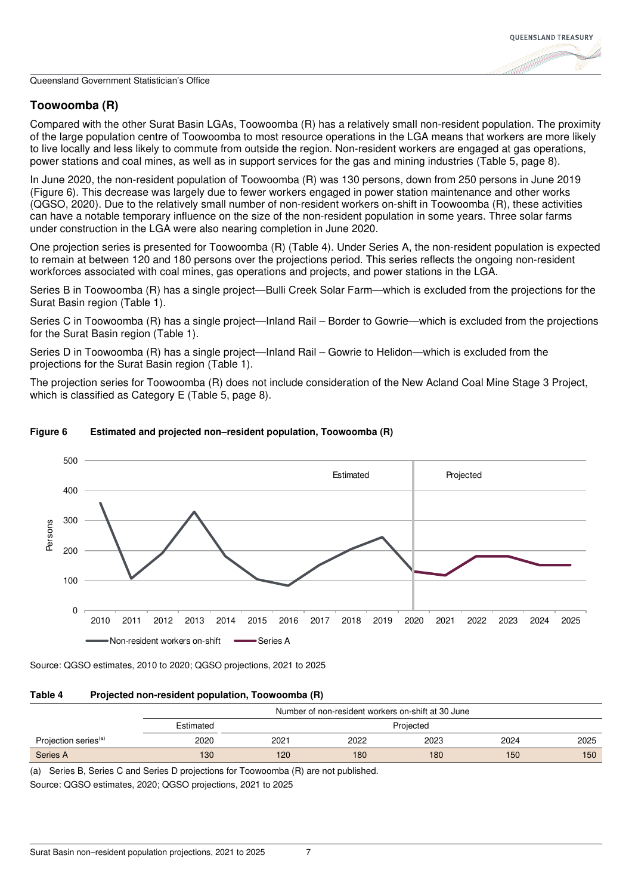## **Toowoomba (R)**

Compared with the other Surat Basin LGAs, Toowoomba (R) has a relatively small non-resident population. The proximity of the large population centre of Toowoomba to most resource operations in the LGA means that workers are more likely to live locally and less likely to commute from outside the region. Non-resident workers are engaged at gas operations, power stations and coal mines, as well as in support services for the gas and mining industries (Table 5, page 8).

In June 2020, the non-resident population of Toowoomba (R) was 130 persons, down from 250 persons in June 2019 (Figure 6). This decrease was largely due to fewer workers engaged in power station maintenance and other works (QGSO, 2020). Due to the relatively small number of non-resident workers on-shift in Toowoomba (R), these activities can have a notable temporary influence on the size of the non-resident population in some years. Three solar farms under construction in the LGA were also nearing completion in June 2020.

One projection series is presented for Toowoomba (R) (Table 4). Under Series A, the non-resident population is expected to remain at between 120 and 180 persons over the projections period. This series reflects the ongoing non-resident workforces associated with coal mines, gas operations and projects, and power stations in the LGA.

Series B in Toowoomba (R) has a single project—Bulli Creek Solar Farm—which is excluded from the projections for the Surat Basin region (Table 1).

Series C in Toowoomba (R) has a single project—Inland Rail – Border to Gowrie—which is excluded from the projections for the Surat Basin region (Table 1).

Series D in Toowoomba (R) has a single project—Inland Rail – Gowrie to Helidon—which is excluded from the projections for the Surat Basin region (Table 1).

The projection series for Toowoomba (R) does not include consideration of the New Acland Coal Mine Stage 3 Project, which is classified as Category E (Table 5, page 8).



## **Figure 6 Estimated and projected non–resident population, Toowoomba (R)**

Source: QGSO estimates, 2010 to 2020; QGSO projections, 2021 to 2025

| Table 4 |  | Projected non-resident population, Toowoomba (R) |  |
|---------|--|--------------------------------------------------|--|
|         |  |                                                  |  |

|                                  |           | Number of non-resident workers on-shift at 30 June |      |      |      |      |
|----------------------------------|-----------|----------------------------------------------------|------|------|------|------|
|                                  | Estimated | Projected                                          |      |      |      |      |
| Projection series <sup>(a)</sup> | 2020      | 2021                                               | 2022 | 2023 | 2024 | 2025 |
| Series A                         | 130       | 120                                                | 180  | 180  | 150  | 150  |

(a) Series B, Series C and Series D projections for Toowoomba (R) are not published.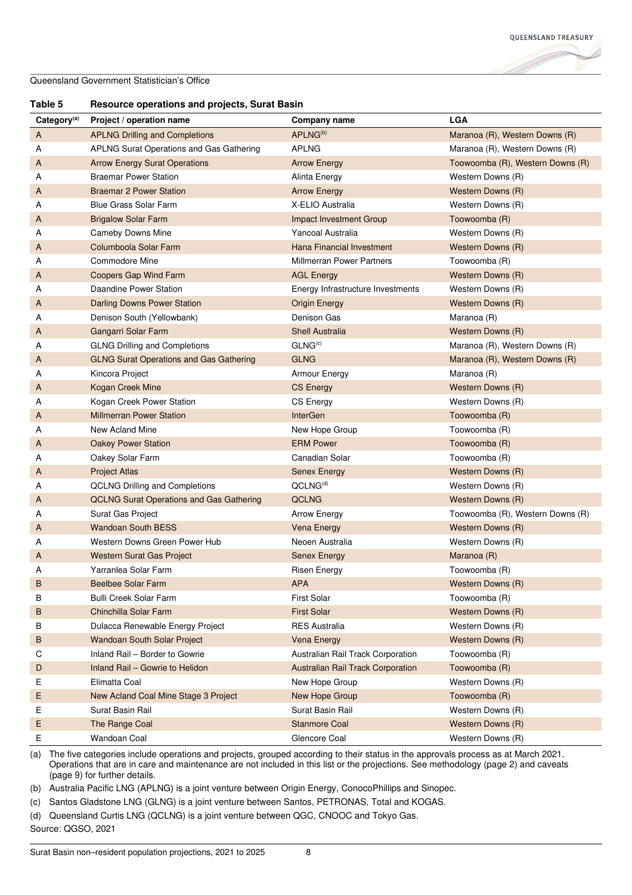

## **Table 5 Resource operations and projects, Surat Basin**

| Category <sup>(a)</sup> | Project / operation name                        | Company name                             | <b>LGA</b>                       |
|-------------------------|-------------------------------------------------|------------------------------------------|----------------------------------|
| A                       | <b>APLNG Drilling and Completions</b>           | APLNG <sup>(b)</sup>                     | Maranoa (R), Western Downs (R)   |
| Α                       | APLNG Surat Operations and Gas Gathering        | APLNG                                    | Maranoa (R), Western Downs (R)   |
| A                       | <b>Arrow Energy Surat Operations</b>            | <b>Arrow Energy</b>                      | Toowoomba (R), Western Downs (R) |
| Α                       | <b>Braemar Power Station</b>                    | Alinta Energy                            | Western Downs (R)                |
| A                       | <b>Braemar 2 Power Station</b>                  | <b>Arrow Energy</b>                      | Western Downs (R)                |
| Α                       | <b>Blue Grass Solar Farm</b>                    | X-ELIO Australia                         | Western Downs (R)                |
| A                       | <b>Brigalow Solar Farm</b>                      | Impact Investment Group                  | Toowoomba (R)                    |
| A                       | <b>Cameby Downs Mine</b>                        | Yancoal Australia                        | Western Downs (R)                |
| A                       | Columboola Solar Farm                           | Hana Financial Investment                | Western Downs (R)                |
| A                       | Commodore Mine                                  | Millmerran Power Partners                | Toowoomba (R)                    |
| Α                       | Coopers Gap Wind Farm                           | <b>AGL Energy</b>                        | Western Downs (R)                |
| Α                       | Daandine Power Station                          | Energy Infrastructure Investments        | Western Downs (R)                |
| A                       | Darling Downs Power Station                     | <b>Origin Energy</b>                     | Western Downs (R)                |
| Α                       | Denison South (Yellowbank)                      | Denison Gas                              | Maranoa (R)                      |
| A                       | Gangarri Solar Farm                             | <b>Shell Australia</b>                   | Western Downs (R)                |
| Α                       | <b>GLNG Drilling and Completions</b>            | GLNG <sup>(c)</sup>                      | Maranoa (R), Western Downs (R)   |
| A                       | <b>GLNG Surat Operations and Gas Gathering</b>  | <b>GLNG</b>                              | Maranoa (R), Western Downs (R)   |
| Α                       | Kincora Project                                 | Armour Energy                            | Maranoa (R)                      |
| A                       | Kogan Creek Mine                                | <b>CS Energy</b>                         | Western Downs (R)                |
| A                       | Kogan Creek Power Station                       | CS Energy                                | Western Downs (R)                |
| A                       | <b>Millmerran Power Station</b>                 | <b>InterGen</b>                          | Toowoomba (R)                    |
| Α                       | New Acland Mine                                 | New Hope Group                           | Toowoomba (R)                    |
| A                       | <b>Oakey Power Station</b>                      | <b>ERM Power</b>                         | Toowoomba (R)                    |
| Α                       | Oakey Solar Farm                                | Canadian Solar                           | Toowoomba (R)                    |
| A                       | <b>Project Atlas</b>                            | <b>Senex Energy</b>                      | Western Downs (R)                |
| Α                       | <b>QCLNG Drilling and Completions</b>           | QCLNG <sup>(d)</sup>                     | Western Downs (R)                |
| A                       | <b>QCLNG Surat Operations and Gas Gathering</b> | <b>QCLNG</b>                             | Western Downs (R)                |
| Α                       | Surat Gas Project                               | <b>Arrow Energy</b>                      | Toowoomba (R), Western Downs (R) |
| A                       | <b>Wandoan South BESS</b>                       | Vena Energy                              | Western Downs (R)                |
| Α                       | Western Downs Green Power Hub                   | Neoen Australia                          | Western Downs (R)                |
| A                       | Western Surat Gas Project                       | <b>Senex Energy</b>                      | Maranoa (R)                      |
| Α                       | Yarranlea Solar Farm                            | <b>Risen Energy</b>                      | Toowoomba (R)                    |
| B                       | Beelbee Solar Farm                              | <b>APA</b>                               | Western Downs (R)                |
| в                       | Bulli Creek Solar Farm                          | <b>First Solar</b>                       | Toowoomba (R)                    |
| В                       | Chinchilla Solar Farm                           | First Solar                              | Western Downs (R)                |
| В                       | Dulacca Renewable Energy Project                | <b>RES Australia</b>                     | Western Downs (R)                |
| В                       | <b>Wandoan South Solar Project</b>              | <b>Vena Energy</b>                       | Western Downs (R)                |
| С                       | Inland Rail - Border to Gowrie                  | Australian Rail Track Corporation        | Toowoomba (R)                    |
| D                       | Inland Rail - Gowrie to Helidon                 | <b>Australian Rail Track Corporation</b> | Toowoomba (R)                    |
| Е                       | Elimatta Coal                                   | New Hope Group                           | Western Downs (R)                |
| Ε                       | New Acland Coal Mine Stage 3 Project            | New Hope Group                           | Toowoomba (R)                    |
| E                       | Surat Basin Rail                                | Surat Basin Rail                         | Western Downs (R)                |
| Е                       | The Range Coal                                  | <b>Stanmore Coal</b>                     | Western Downs (R)                |
| Е                       | Wandoan Coal                                    | Glencore Coal                            | Western Downs (R)                |

(a) The five categories include operations and projects, grouped according to their status in the approvals process as at March 2021. Operations that are in care and maintenance are not included in this list or the projections. See methodology (page 2) and caveats (page 9) for further details.

(b) Australia Pacific LNG (APLNG) is a joint venture between Origin Energy, ConocoPhillips and Sinopec.

(c) Santos Gladstone LNG (GLNG) is a joint venture between Santos, PETRONAS, Total and KOGAS.

(d) Queensland Curtis LNG (QCLNG) is a joint venture between QGC, CNOOC and Tokyo Gas.

Source: QGSO, 2021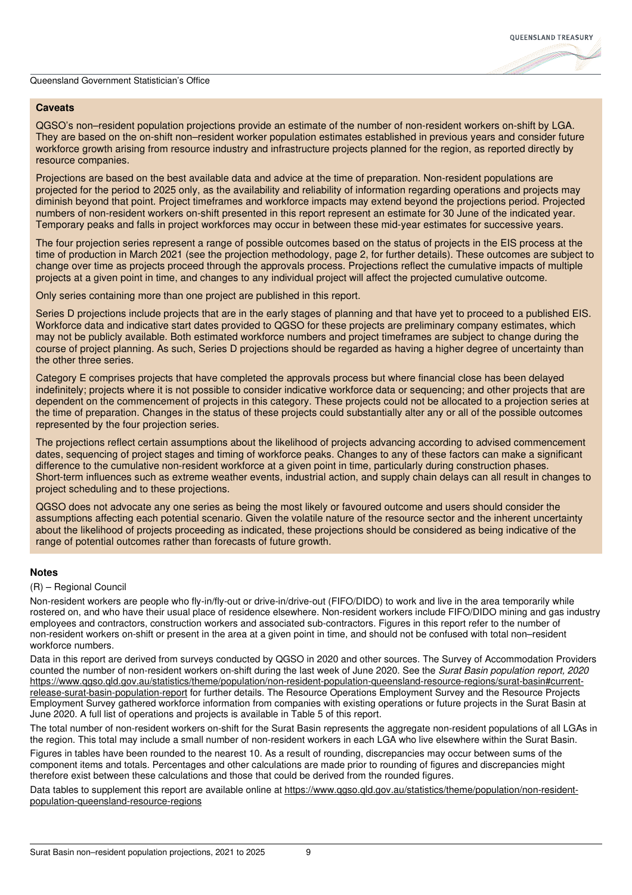#### **Caveats**

QGSO's non–resident population projections provide an estimate of the number of non-resident workers on-shift by LGA. They are based on the on-shift non–resident worker population estimates established in previous years and consider future workforce growth arising from resource industry and infrastructure projects planned for the region, as reported directly by resource companies.

Projections are based on the best available data and advice at the time of preparation. Non-resident populations are projected for the period to 2025 only, as the availability and reliability of information regarding operations and projects may diminish beyond that point. Project timeframes and workforce impacts may extend beyond the projections period. Projected numbers of non-resident workers on-shift presented in this report represent an estimate for 30 June of the indicated year. Temporary peaks and falls in project workforces may occur in between these mid-year estimates for successive years.

The four projection series represent a range of possible outcomes based on the status of projects in the EIS process at the time of production in March 2021 (see the projection methodology, page 2, for further details). These outcomes are subject to change over time as projects proceed through the approvals process. Projections reflect the cumulative impacts of multiple projects at a given point in time, and changes to any individual project will affect the projected cumulative outcome.

Only series containing more than one project are published in this report.

Series D projections include projects that are in the early stages of planning and that have yet to proceed to a published EIS. Workforce data and indicative start dates provided to QGSO for these projects are preliminary company estimates, which may not be publicly available. Both estimated workforce numbers and project timeframes are subject to change during the course of project planning. As such, Series D projections should be regarded as having a higher degree of uncertainty than the other three series.

Category E comprises projects that have completed the approvals process but where financial close has been delayed indefinitely; projects where it is not possible to consider indicative workforce data or sequencing; and other projects that are dependent on the commencement of projects in this category. These projects could not be allocated to a projection series at the time of preparation. Changes in the status of these projects could substantially alter any or all of the possible outcomes represented by the four projection series.

The projections reflect certain assumptions about the likelihood of projects advancing according to advised commencement dates, sequencing of project stages and timing of workforce peaks. Changes to any of these factors can make a significant difference to the cumulative non-resident workforce at a given point in time, particularly during construction phases. Short-term influences such as extreme weather events, industrial action, and supply chain delays can all result in changes to project scheduling and to these projections.

QGSO does not advocate any one series as being the most likely or favoured outcome and users should consider the assumptions affecting each potential scenario. Given the volatile nature of the resource sector and the inherent uncertainty about the likelihood of projects proceeding as indicated, these projections should be considered as being indicative of the range of potential outcomes rather than forecasts of future growth.

## **Notes**

#### (R) – Regional Council

Non-resident workers are people who fly-in/fly-out or drive-in/drive-out (FIFO/DIDO) to work and live in the area temporarily while rostered on, and who have their usual place of residence elsewhere. Non-resident workers include FIFO/DIDO mining and gas industry employees and contractors, construction workers and associated sub-contractors. Figures in this report refer to the number of non-resident workers on-shift or present in the area at a given point in time, and should not be confused with total non–resident workforce numbers.

Data in this report are derived from surveys conducted by QGSO in 2020 and other sources. The Survey of Accommodation Providers counted the number of non-resident workers on-shift during the last week of June 2020. See the *Surat Basin population report, 2020* https://www.qgso.qld.gov.au/statistics/theme/population/non-resident-population-queensland-resource-regions/surat-basin#currentrelease-surat-basin-population-report for further details. The Resource Operations Employment Survey and the Resource Projects Employment Survey gathered workforce information from companies with existing operations or future projects in the Surat Basin at June 2020. A full list of operations and projects is available in Table 5 of this report.

The total number of non-resident workers on-shift for the Surat Basin represents the aggregate non-resident populations of all LGAs in the region. This total may include a small number of non-resident workers in each LGA who live elsewhere within the Surat Basin.

Figures in tables have been rounded to the nearest 10. As a result of rounding, discrepancies may occur between sums of the component items and totals. Percentages and other calculations are made prior to rounding of figures and discrepancies might therefore exist between these calculations and those that could be derived from the rounded figures.

Data tables to supplement this report are available online at https://www.qqso.qld.gov.au/statistics/theme/population/non-residentpopulation-queensland-resource-regions